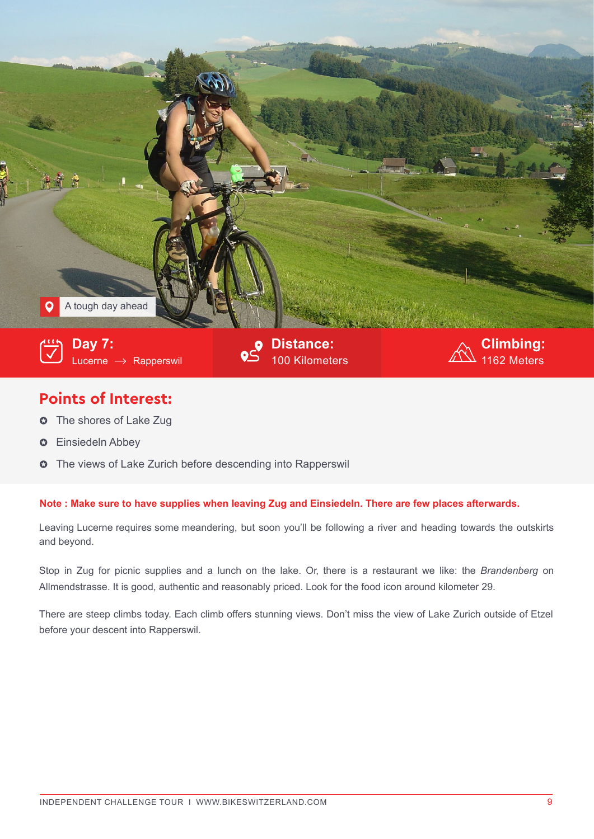

## **Points of Interest:**

- $\bullet~$  The shores of Lake Zug
- **O** Einsiedeln Abbey
- **O** The views of Lake Zurich before descending into Rapperswil

## **Note : Make sure to have supplies when leaving Zug and Einsiedeln. There are few places afterwards.**

Leaving Lucerne requires some meandering, but soon you'll be following a river and heading towards the outskirts and beyond.

Stop in Zug for picnic supplies and a lunch on the lake. Or, there is a restaurant we like: the *Brandenberg* on Allmendstrasse. It is good, authentic and reasonably priced. Look for the food icon around kilometer 29.

There are steep climbs today. Each climb offers stunning views. Don't miss the view of Lake Zurich outside of Etzel before your descent into Rapperswil.